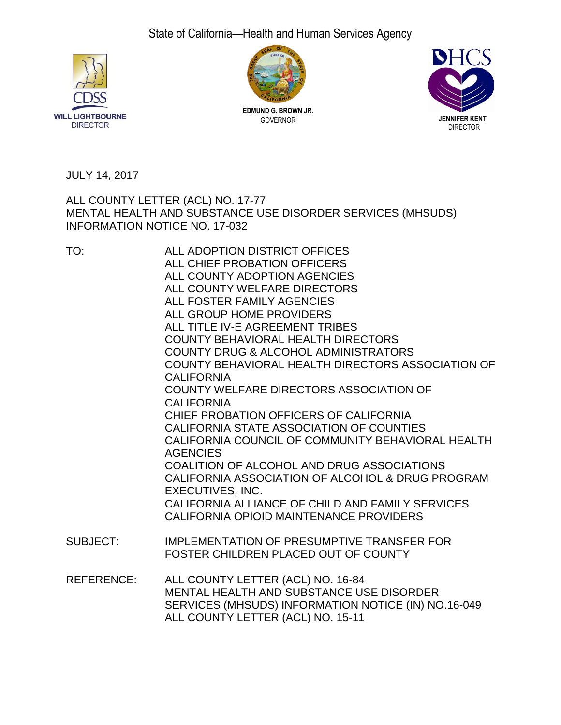# State of California—Health and Human Services Agency





**EDMUND G. BROWN JR.** GOVERNOR



JULY 14, 2017

ALL COUNTY LETTER (ACL) NO. 17-77 MENTAL HEALTH AND SUBSTANCE USE DISORDER SERVICES (MHSUDS) INFORMATION NOTICE NO. 17-032

| TO:               | ALL ADOPTION DISTRICT OFFICES                                                                                                                                             |
|-------------------|---------------------------------------------------------------------------------------------------------------------------------------------------------------------------|
|                   | ALL CHIEF PROBATION OFFICERS                                                                                                                                              |
|                   | ALL COUNTY ADOPTION AGENCIES                                                                                                                                              |
|                   | ALL COUNTY WELFARE DIRECTORS                                                                                                                                              |
|                   | ALL FOSTER FAMILY AGENCIES                                                                                                                                                |
|                   | ALL GROUP HOME PROVIDERS                                                                                                                                                  |
|                   | ALL TITLE IV-E AGREEMENT TRIBES                                                                                                                                           |
|                   | <b>COUNTY BEHAVIORAL HEALTH DIRECTORS</b>                                                                                                                                 |
|                   | <b>COUNTY DRUG &amp; ALCOHOL ADMINISTRATORS</b>                                                                                                                           |
|                   | COUNTY BEHAVIORAL HEALTH DIRECTORS ASSOCIATION OF<br><b>CALIFORNIA</b>                                                                                                    |
|                   | <b>COUNTY WELFARE DIRECTORS ASSOCIATION OF</b>                                                                                                                            |
|                   | <b>CALIFORNIA</b>                                                                                                                                                         |
|                   | CHIEF PROBATION OFFICERS OF CALIFORNIA                                                                                                                                    |
|                   | CALIFORNIA STATE ASSOCIATION OF COUNTIES                                                                                                                                  |
|                   | CALIFORNIA COUNCIL OF COMMUNITY BEHAVIORAL HEALTH<br><b>AGENCIES</b>                                                                                                      |
|                   | COALITION OF ALCOHOL AND DRUG ASSOCIATIONS                                                                                                                                |
|                   | CALIFORNIA ASSOCIATION OF ALCOHOL & DRUG PROGRAM<br>EXECUTIVES, INC.                                                                                                      |
|                   | CALIFORNIA ALLIANCE OF CHILD AND FAMILY SERVICES                                                                                                                          |
|                   | CALIFORNIA OPIOID MAINTENANCE PROVIDERS                                                                                                                                   |
| SUBJECT:          | IMPLEMENTATION OF PRESUMPTIVE TRANSFER FOR<br>FOSTER CHILDREN PLACED OUT OF COUNTY                                                                                        |
| <b>REFERENCE:</b> | ALL COUNTY LETTER (ACL) NO. 16-84<br>MENTAL HEALTH AND SUBSTANCE USE DISORDER<br>SERVICES (MHSUDS) INFORMATION NOTICE (IN) NO.16-049<br>ALL COUNTY LETTER (ACL) NO. 15-11 |
|                   |                                                                                                                                                                           |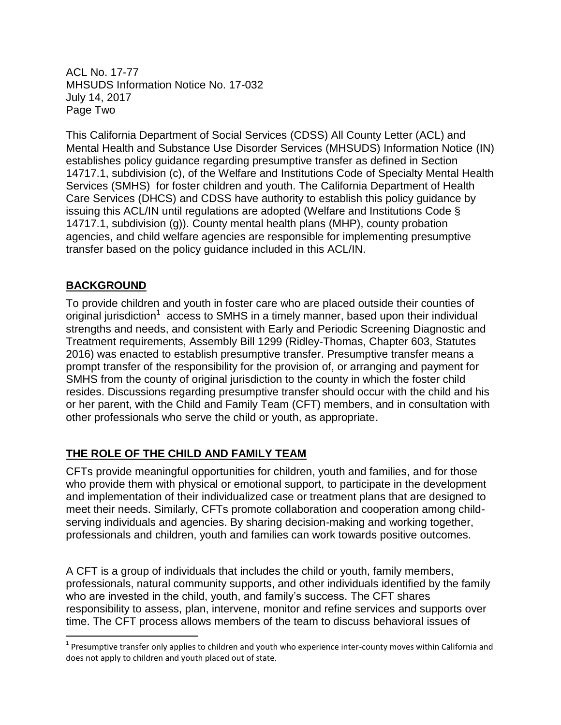ACL No. 17-77 MHSUDS Information Notice No. 17-032 July 14, 2017 Page Two

This California Department of Social Services (CDSS) All County Letter (ACL) and Mental Health and Substance Use Disorder Services (MHSUDS) Information Notice (IN) establishes policy guidance regarding presumptive transfer as defined in Section 14717.1, subdivision (c), of the Welfare and Institutions Code of Specialty Mental Health Services (SMHS) for foster children and youth. The California Department of Health Care Services (DHCS) and CDSS have authority to establish this policy guidance by issuing this ACL/IN until regulations are adopted (Welfare and Institutions Code § 14717.1, subdivision (g)). County mental health plans (MHP), county probation agencies, and child welfare agencies are responsible for implementing presumptive transfer based on the policy guidance included in this ACL/IN.

#### **BACKGROUND**

 $\overline{\phantom{a}}$ 

To provide children and youth in foster care who are placed outside their counties of original jurisdiction<sup>1</sup> access to SMHS in a timely manner, based upon their individual strengths and needs, and consistent with Early and Periodic Screening Diagnostic and Treatment requirements, Assembly Bill 1299 (Ridley-Thomas, Chapter 603, Statutes 2016) was enacted to establish presumptive transfer. Presumptive transfer means a prompt transfer of the responsibility for the provision of, or arranging and payment for SMHS from the county of original jurisdiction to the county in which the foster child resides. Discussions regarding presumptive transfer should occur with the child and his or her parent, with the Child and Family Team (CFT) members, and in consultation with other professionals who serve the child or youth, as appropriate.

# **THE ROLE OF THE CHILD AND FAMILY TEAM**

CFTs provide meaningful opportunities for children, youth and families, and for those who provide them with physical or emotional support, to participate in the development and implementation of their individualized case or treatment plans that are designed to meet their needs. Similarly, CFTs promote collaboration and cooperation among childserving individuals and agencies. By sharing decision-making and working together, professionals and children, youth and families can work towards positive outcomes.

A CFT is a group of individuals that includes the child or youth, family members, professionals, natural community supports, and other individuals identified by the family who are invested in the child, youth, and family's success. The CFT shares responsibility to assess, plan, intervene, monitor and refine services and supports over time. The CFT process allows members of the team to discuss behavioral issues of

 $1$  Presumptive transfer only applies to children and youth who experience inter-county moves within California and does not apply to children and youth placed out of state.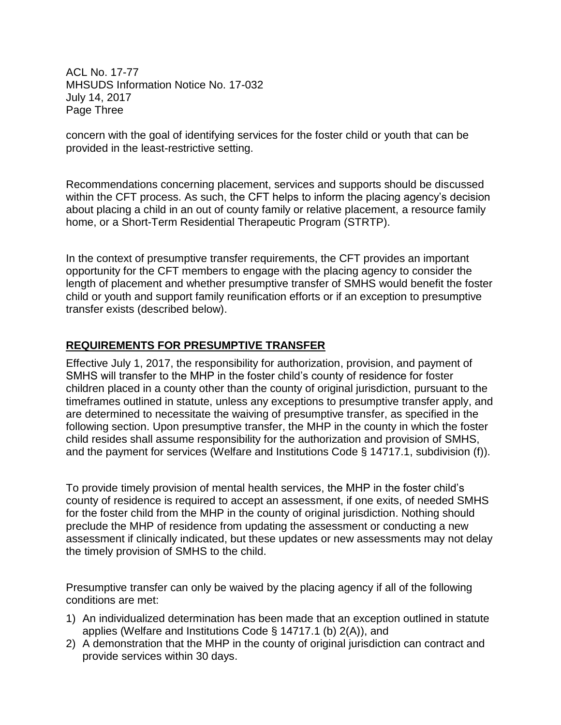ACL No. 17-77 MHSUDS Information Notice No. 17-032 July 14, 2017 Page Three

concern with the goal of identifying services for the foster child or youth that can be provided in the least-restrictive setting.

Recommendations concerning placement, services and supports should be discussed within the CFT process. As such, the CFT helps to inform the placing agency's decision about placing a child in an out of county family or relative placement, a resource family home, or a Short-Term Residential Therapeutic Program (STRTP).

In the context of presumptive transfer requirements, the CFT provides an important opportunity for the CFT members to engage with the placing agency to consider the length of placement and whether presumptive transfer of SMHS would benefit the foster child or youth and support family reunification efforts or if an exception to presumptive transfer exists (described below).

#### **REQUIREMENTS FOR PRESUMPTIVE TRANSFER**

Effective July 1, 2017, the responsibility for authorization, provision, and payment of SMHS will transfer to the MHP in the foster child's county of residence for foster children placed in a county other than the county of original jurisdiction, pursuant to the timeframes outlined in statute, unless any exceptions to presumptive transfer apply, and are determined to necessitate the waiving of presumptive transfer, as specified in the following section. Upon presumptive transfer, the MHP in the county in which the foster child resides shall assume responsibility for the authorization and provision of SMHS, and the payment for services (Welfare and Institutions Code § 14717.1, subdivision (f)).

To provide timely provision of mental health services, the MHP in the foster child's county of residence is required to accept an assessment, if one exits, of needed SMHS for the foster child from the MHP in the county of original jurisdiction. Nothing should preclude the MHP of residence from updating the assessment or conducting a new assessment if clinically indicated, but these updates or new assessments may not delay the timely provision of SMHS to the child.

Presumptive transfer can only be waived by the placing agency if all of the following conditions are met:

- 1) An individualized determination has been made that an exception outlined in statute applies (Welfare and Institutions Code § 14717.1 (b) 2(A)), and
- 2) A demonstration that the MHP in the county of original jurisdiction can contract and provide services within 30 days.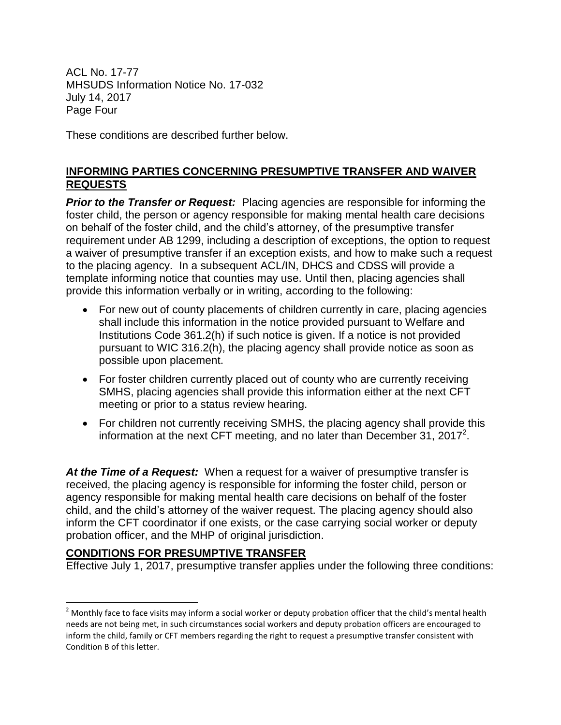ACL No. 17-77 MHSUDS Information Notice No. 17-032 July 14, 2017 Page Four

These conditions are described further below.

### **INFORMING PARTIES CONCERNING PRESUMPTIVE TRANSFER AND WAIVER REQUESTS**

**Prior to the Transfer or Request:** Placing agencies are responsible for informing the foster child, the person or agency responsible for making mental health care decisions on behalf of the foster child, and the child's attorney, of the presumptive transfer requirement under AB 1299, including a description of exceptions, the option to request a waiver of presumptive transfer if an exception exists, and how to make such a request to the placing agency. In a subsequent ACL/IN, DHCS and CDSS will provide a template informing notice that counties may use. Until then, placing agencies shall provide this information verbally or in writing, according to the following:

- For new out of county placements of children currently in care, placing agencies shall include this information in the notice provided pursuant to Welfare and Institutions Code 361.2(h) if such notice is given. If a notice is not provided pursuant to WIC 316.2(h), the placing agency shall provide notice as soon as possible upon placement.
- For foster children currently placed out of county who are currently receiving SMHS, placing agencies shall provide this information either at the next CFT meeting or prior to a status review hearing.
- For children not currently receiving SMHS, the placing agency shall provide this information at the next CFT meeting, and no later than December 31, 2017<sup>2</sup>.

*At the Time of a Request:* When a request for a waiver of presumptive transfer is received, the placing agency is responsible for informing the foster child, person or agency responsible for making mental health care decisions on behalf of the foster child, and the child's attorney of the waiver request. The placing agency should also inform the CFT coordinator if one exists, or the case carrying social worker or deputy probation officer, and the MHP of original jurisdiction.

# **CONDITIONS FOR PRESUMPTIVE TRANSFER**

 $\overline{\phantom{a}}$ 

Effective July 1, 2017, presumptive transfer applies under the following three conditions:

 $2$  Monthly face to face visits may inform a social worker or deputy probation officer that the child's mental health needs are not being met, in such circumstances social workers and deputy probation officers are encouraged to inform the child, family or CFT members regarding the right to request a presumptive transfer consistent with Condition B of this letter.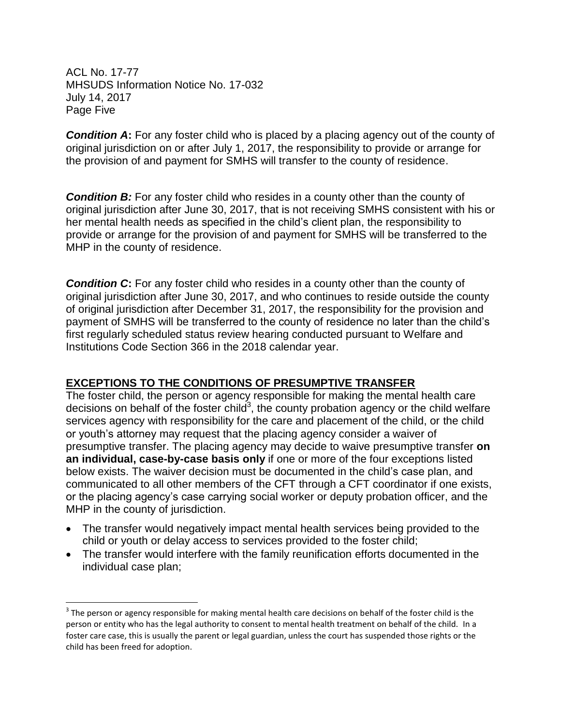ACL No. 17-77 MHSUDS Information Notice No. 17-032 July 14, 2017 Page Five

 $\overline{\phantom{a}}$ 

**Condition A:** For any foster child who is placed by a placing agency out of the county of original jurisdiction on or after July 1, 2017, the responsibility to provide or arrange for the provision of and payment for SMHS will transfer to the county of residence.

**Condition B:** For any foster child who resides in a county other than the county of original jurisdiction after June 30, 2017, that is not receiving SMHS consistent with his or her mental health needs as specified in the child's client plan, the responsibility to provide or arrange for the provision of and payment for SMHS will be transferred to the MHP in the county of residence.

**Condition C:** For any foster child who resides in a county other than the county of original jurisdiction after June 30, 2017, and who continues to reside outside the county of original jurisdiction after December 31, 2017, the responsibility for the provision and payment of SMHS will be transferred to the county of residence no later than the child's first regularly scheduled status review hearing conducted pursuant to Welfare and Institutions Code Section 366 in the 2018 calendar year.

#### **EXCEPTIONS TO THE CONDITIONS OF PRESUMPTIVE TRANSFER**

The foster child, the person or agency responsible for making the mental health care decisions on behalf of the foster child<sup>3</sup>, the county probation agency or the child welfare services agency with responsibility for the care and placement of the child, or the child or youth's attorney may request that the placing agency consider a waiver of presumptive transfer. The placing agency may decide to waive presumptive transfer **on an individual, case-by-case basis only** if one or more of the four exceptions listed below exists. The waiver decision must be documented in the child's case plan, and communicated to all other members of the CFT through a CFT coordinator if one exists, or the placing agency's case carrying social worker or deputy probation officer, and the MHP in the county of jurisdiction.

- The transfer would negatively impact mental health services being provided to the child or youth or delay access to services provided to the foster child;
- The transfer would interfere with the family reunification efforts documented in the individual case plan;

 $3$  The person or agency responsible for making mental health care decisions on behalf of the foster child is the person or entity who has the legal authority to consent to mental health treatment on behalf of the child. In a foster care case, this is usually the parent or legal guardian, unless the court has suspended those rights or the child has been freed for adoption.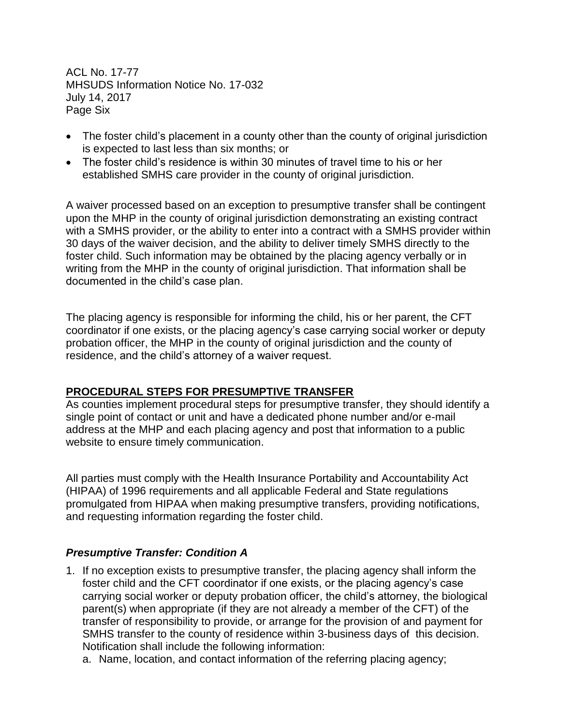ACL No. 17-77 MHSUDS Information Notice No. 17-032 July 14, 2017 Page Six

- The foster child's placement in a county other than the county of original jurisdiction is expected to last less than six months; or
- The foster child's residence is within 30 minutes of travel time to his or her established SMHS care provider in the county of original jurisdiction.

A waiver processed based on an exception to presumptive transfer shall be contingent upon the MHP in the county of original jurisdiction demonstrating an existing contract with a SMHS provider, or the ability to enter into a contract with a SMHS provider within 30 days of the waiver decision, and the ability to deliver timely SMHS directly to the foster child. Such information may be obtained by the placing agency verbally or in writing from the MHP in the county of original jurisdiction. That information shall be documented in the child's case plan.

The placing agency is responsible for informing the child, his or her parent, the CFT coordinator if one exists, or the placing agency's case carrying social worker or deputy probation officer, the MHP in the county of original jurisdiction and the county of residence, and the child's attorney of a waiver request.

#### **PROCEDURAL STEPS FOR PRESUMPTIVE TRANSFER**

As counties implement procedural steps for presumptive transfer, they should identify a single point of contact or unit and have a dedicated phone number and/or e-mail address at the MHP and each placing agency and post that information to a public website to ensure timely communication.

All parties must comply with the Health Insurance Portability and Accountability Act (HIPAA) of 1996 requirements and all applicable Federal and State regulations promulgated from HIPAA when making presumptive transfers, providing notifications, and requesting information regarding the foster child.

# *Presumptive Transfer: Condition A*

- 1. If no exception exists to presumptive transfer, the placing agency shall inform the foster child and the CFT coordinator if one exists, or the placing agency's case carrying social worker or deputy probation officer, the child's attorney, the biological parent(s) when appropriate (if they are not already a member of the CFT) of the transfer of responsibility to provide, or arrange for the provision of and payment for SMHS transfer to the county of residence within 3-business days of this decision. Notification shall include the following information:
	- a. Name, location, and contact information of the referring placing agency;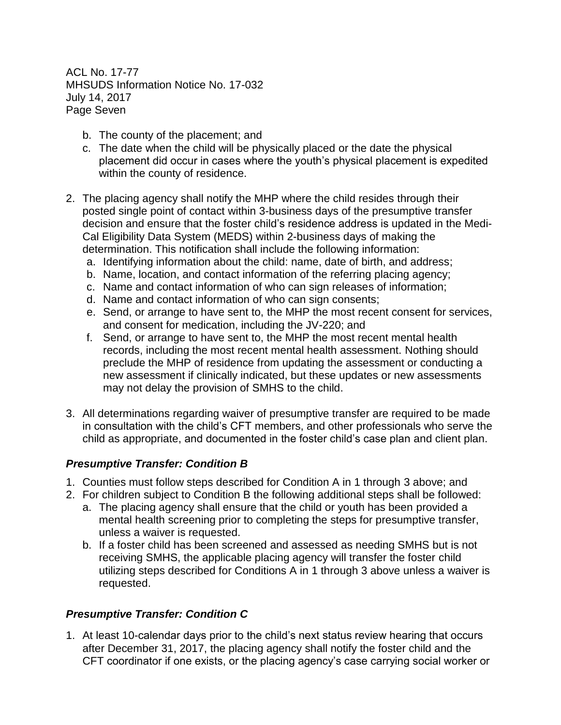ACL No. 17-77 MHSUDS Information Notice No. 17-032 July 14, 2017 Page Seven

- b. The county of the placement; and
- c. The date when the child will be physically placed or the date the physical placement did occur in cases where the youth's physical placement is expedited within the county of residence.
- 2. The placing agency shall notify the MHP where the child resides through their posted single point of contact within 3-business days of the presumptive transfer decision and ensure that the foster child's residence address is updated in the Medi-Cal Eligibility Data System (MEDS) within 2-business days of making the determination. This notification shall include the following information:
	- a. Identifying information about the child: name, date of birth, and address;
	- b. Name, location, and contact information of the referring placing agency;
	- c. Name and contact information of who can sign releases of information;
	- d. Name and contact information of who can sign consents;
	- e. Send, or arrange to have sent to, the MHP the most recent consent for services, and consent for medication, including the JV-220; and
	- f. Send, or arrange to have sent to, the MHP the most recent mental health records, including the most recent mental health assessment. Nothing should preclude the MHP of residence from updating the assessment or conducting a new assessment if clinically indicated, but these updates or new assessments may not delay the provision of SMHS to the child.
- 3. All determinations regarding waiver of presumptive transfer are required to be made in consultation with the child's CFT members, and other professionals who serve the child as appropriate, and documented in the foster child's case plan and client plan.

# *Presumptive Transfer: Condition B*

- 1. Counties must follow steps described for Condition A in 1 through 3 above; and
- 2. For children subject to Condition B the following additional steps shall be followed:
	- a. The placing agency shall ensure that the child or youth has been provided a mental health screening prior to completing the steps for presumptive transfer, unless a waiver is requested.
	- b. If a foster child has been screened and assessed as needing SMHS but is not receiving SMHS, the applicable placing agency will transfer the foster child utilizing steps described for Conditions A in 1 through 3 above unless a waiver is requested.

# *Presumptive Transfer: Condition C*

1. At least 10-calendar days prior to the child's next status review hearing that occurs after December 31, 2017, the placing agency shall notify the foster child and the CFT coordinator if one exists, or the placing agency's case carrying social worker or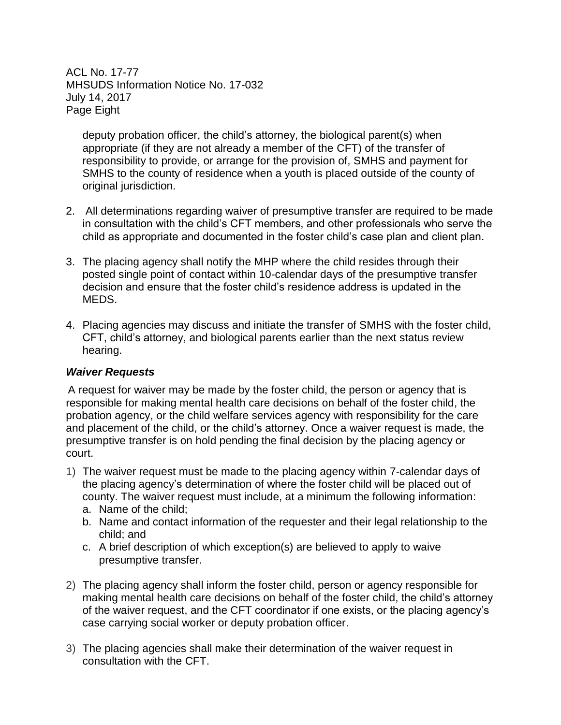ACL No. 17-77 MHSUDS Information Notice No. 17-032 July 14, 2017 Page Eight

deputy probation officer, the child's attorney, the biological parent(s) when appropriate (if they are not already a member of the CFT) of the transfer of responsibility to provide, or arrange for the provision of, SMHS and payment for SMHS to the county of residence when a youth is placed outside of the county of original jurisdiction.

- 2. All determinations regarding waiver of presumptive transfer are required to be made in consultation with the child's CFT members, and other professionals who serve the child as appropriate and documented in the foster child's case plan and client plan.
- 3. The placing agency shall notify the MHP where the child resides through their posted single point of contact within 10-calendar days of the presumptive transfer decision and ensure that the foster child's residence address is updated in the MEDS.
- 4. Placing agencies may discuss and initiate the transfer of SMHS with the foster child, CFT, child's attorney, and biological parents earlier than the next status review hearing.

# *Waiver Requests*

A request for waiver may be made by the foster child, the person or agency that is responsible for making mental health care decisions on behalf of the foster child, the probation agency, or the child welfare services agency with responsibility for the care and placement of the child, or the child's attorney. Once a waiver request is made, the presumptive transfer is on hold pending the final decision by the placing agency or court.

- 1) The waiver request must be made to the placing agency within 7-calendar days of the placing agency's determination of where the foster child will be placed out of county. The waiver request must include, at a minimum the following information:
	- a. Name of the child;
	- b. Name and contact information of the requester and their legal relationship to the child; and
	- c. A brief description of which exception(s) are believed to apply to waive presumptive transfer.
- 2) The placing agency shall inform the foster child, person or agency responsible for making mental health care decisions on behalf of the foster child, the child's attorney of the waiver request, and the CFT coordinator if one exists, or the placing agency's case carrying social worker or deputy probation officer.
- 3) The placing agencies shall make their determination of the waiver request in consultation with the CFT.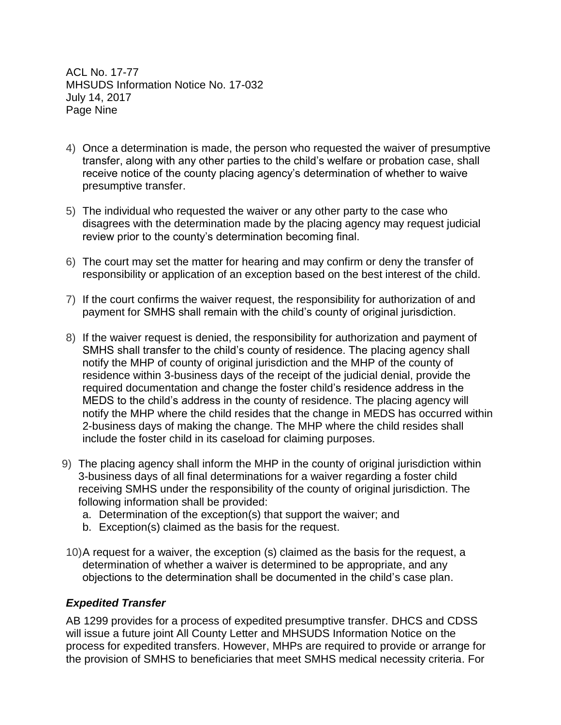ACL No. 17-77 MHSUDS Information Notice No. 17-032 July 14, 2017 Page Nine

- 4) Once a determination is made, the person who requested the waiver of presumptive transfer, along with any other parties to the child's welfare or probation case, shall receive notice of the county placing agency's determination of whether to waive presumptive transfer.
- 5) The individual who requested the waiver or any other party to the case who disagrees with the determination made by the placing agency may request judicial review prior to the county's determination becoming final.
- 6) The court may set the matter for hearing and may confirm or deny the transfer of responsibility or application of an exception based on the best interest of the child.
- 7) If the court confirms the waiver request, the responsibility for authorization of and payment for SMHS shall remain with the child's county of original jurisdiction.
- 8) If the waiver request is denied, the responsibility for authorization and payment of SMHS shall transfer to the child's county of residence. The placing agency shall notify the MHP of county of original jurisdiction and the MHP of the county of residence within 3-business days of the receipt of the judicial denial, provide the required documentation and change the foster child's residence address in the MEDS to the child's address in the county of residence. The placing agency will notify the MHP where the child resides that the change in MEDS has occurred within 2-business days of making the change. The MHP where the child resides shall include the foster child in its caseload for claiming purposes.
- 9) The placing agency shall inform the MHP in the county of original jurisdiction within 3-business days of all final determinations for a waiver regarding a foster child receiving SMHS under the responsibility of the county of original jurisdiction. The following information shall be provided:
	- a. Determination of the exception(s) that support the waiver; and
	- b. Exception(s) claimed as the basis for the request.
- 10)A request for a waiver, the exception (s) claimed as the basis for the request, a determination of whether a waiver is determined to be appropriate, and any objections to the determination shall be documented in the child's case plan.

#### *Expedited Transfer*

AB 1299 provides for a process of expedited presumptive transfer. DHCS and CDSS will issue a future joint All County Letter and MHSUDS Information Notice on the process for expedited transfers. However, MHPs are required to provide or arrange for the provision of SMHS to beneficiaries that meet SMHS medical necessity criteria. For